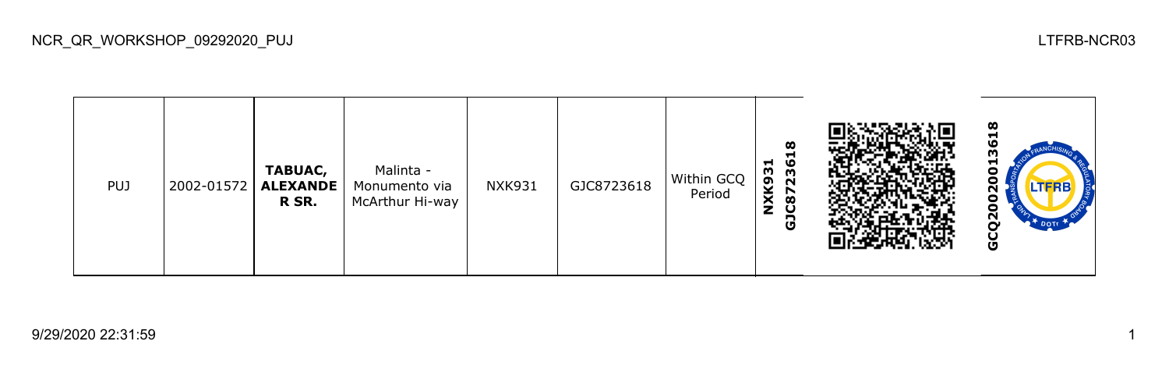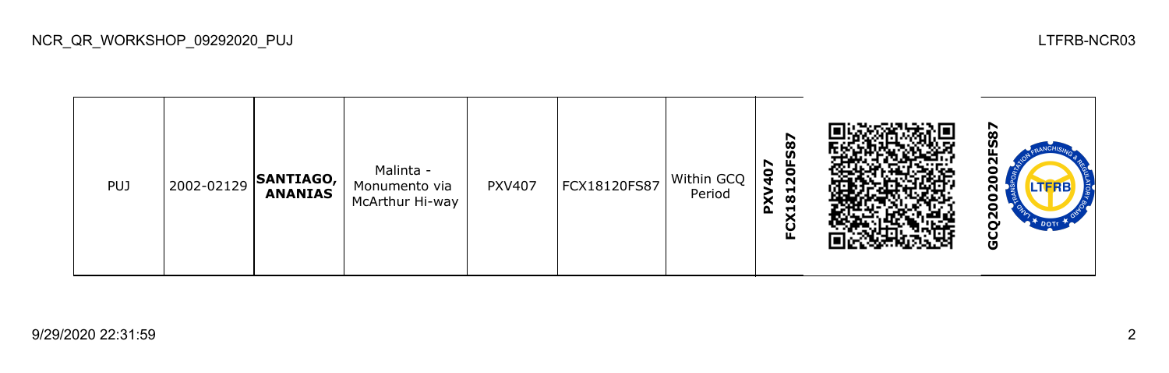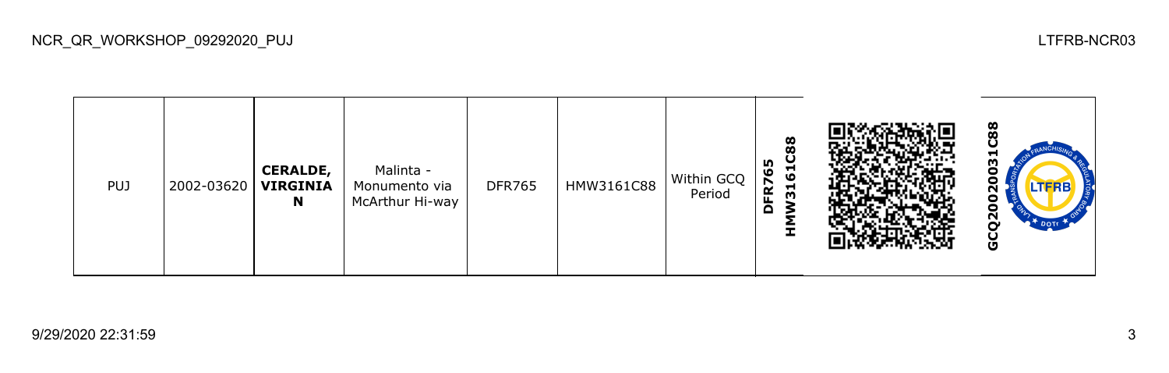| <b>PUJ</b> | 2002-03620 | <b>CERALDE,</b><br><b>VIRGINIA</b><br>N | Malinta -<br>Monumento via<br>McArthur Hi-way | <b>DFR765</b> | HMW3161C88 | Within GCQ  <br>Period | 61C88<br>n,<br>ဖ<br>FR7<br>$\overline{51}$<br>$\Omega$<br>ᆂ |  | 88<br>u<br>ო<br>o<br>o<br>TERB<br>о<br>o<br>Ñ<br>DOTE<br>ပ<br>O |
|------------|------------|-----------------------------------------|-----------------------------------------------|---------------|------------|------------------------|-------------------------------------------------------------|--|-----------------------------------------------------------------|
|------------|------------|-----------------------------------------|-----------------------------------------------|---------------|------------|------------------------|-------------------------------------------------------------|--|-----------------------------------------------------------------|

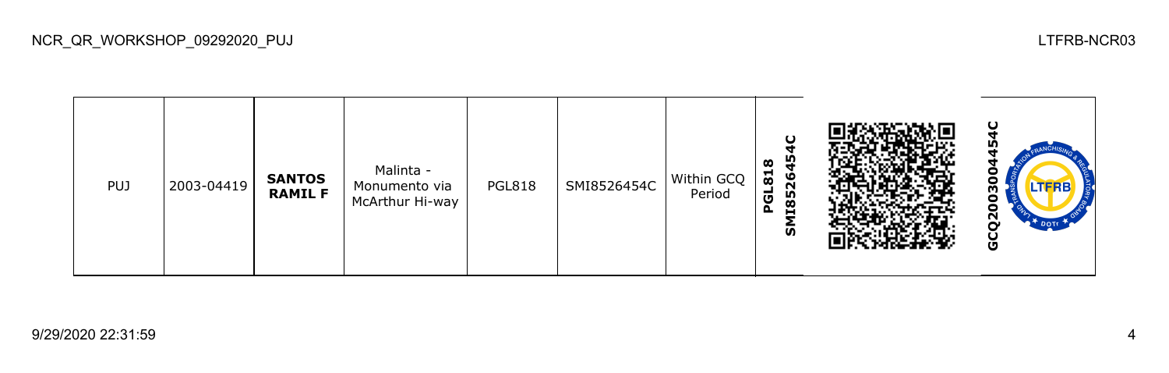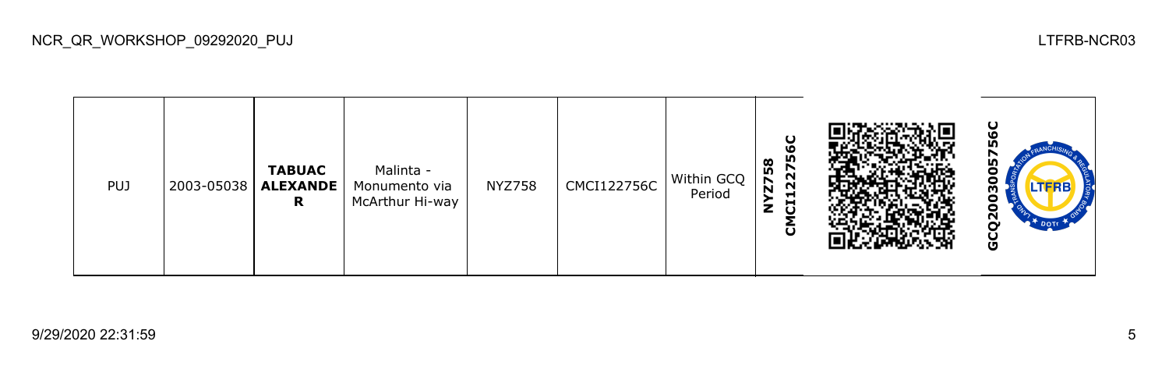| <b>PUJ</b> | 2003-05038 | <b>TABUAC</b><br><b>ALEXANDE</b><br>R | Malinta -<br>Monumento via<br>McArthur Hi-way | <b>NYZ758</b> | <b>CMCI122756C</b> | Within GCQ<br>Period | ပ္စ<br>į۵<br>58<br>27<br>$\overline{\bf{z}}$<br>$\sim$<br>ᆋ<br>đ<br>z<br>$\mathbf{S}$ |  | ပ<br>o<br>Ξ<br><b>LTFRB</b><br>о<br>Θ<br>ี่<br>O |
|------------|------------|---------------------------------------|-----------------------------------------------|---------------|--------------------|----------------------|---------------------------------------------------------------------------------------|--|--------------------------------------------------|
|------------|------------|---------------------------------------|-----------------------------------------------|---------------|--------------------|----------------------|---------------------------------------------------------------------------------------|--|--------------------------------------------------|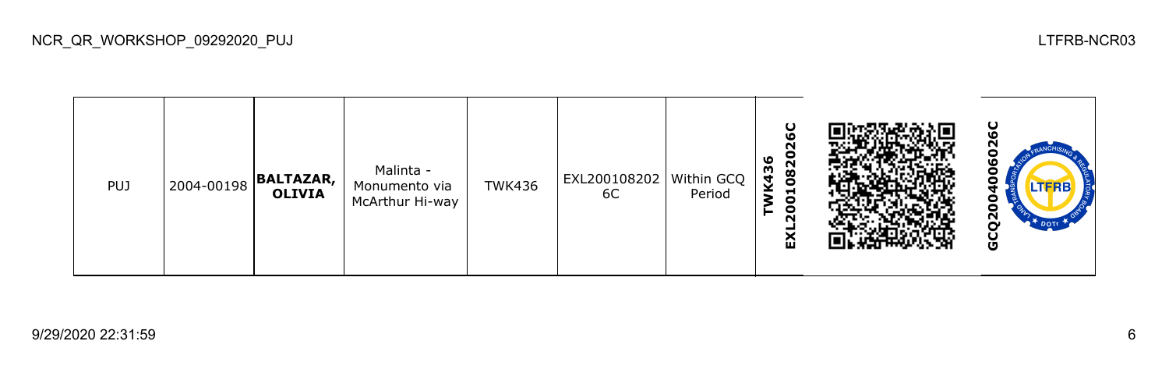| <b>PUJ</b> | 2004-00198 | <b>BALTAZAR,</b><br><b>OLIVIA</b> | Malinta -<br>Monumento via<br>McArthur Hi-way | <b>TWK436</b> | EXL200108202   Within GCQ  <br>6C | Period | ပ<br>ဖ<br>$\sim$<br>o<br>٥<br>082<br>K43<br>$\overline{5}$<br>$\bullet$<br>$\sim$<br>ଢ |  | ပ<br>N<br>o<br>LTFRB<br>$\tilde{a}$<br>DOT<br>O |
|------------|------------|-----------------------------------|-----------------------------------------------|---------------|-----------------------------------|--------|----------------------------------------------------------------------------------------|--|-------------------------------------------------|
|------------|------------|-----------------------------------|-----------------------------------------------|---------------|-----------------------------------|--------|----------------------------------------------------------------------------------------|--|-------------------------------------------------|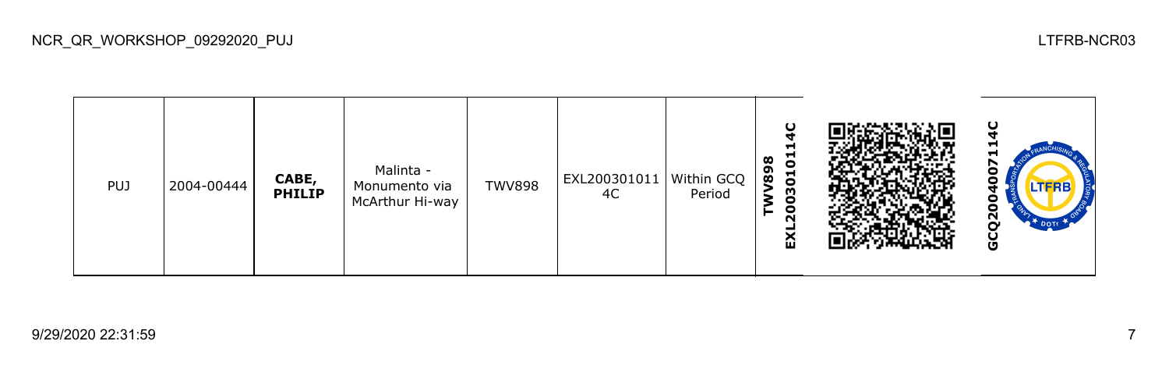| <b>PUJ</b> | 2004-00444 | CABE,<br><b>PHILIP</b> | Malinta -<br>Monumento via<br>McArthur Hi-way | <b>TWV898</b> | EXL200301011   Within GCQ<br>4C | Period | ပ<br>Н<br>$\overline{5}$<br>œ<br>စ္ပိ<br>$\overline{5}$<br>8<br>$\bullet$<br>$\sim$<br>≏ |  | -<br>LTFRB<br>N<br>O |
|------------|------------|------------------------|-----------------------------------------------|---------------|---------------------------------|--------|------------------------------------------------------------------------------------------|--|----------------------|
|------------|------------|------------------------|-----------------------------------------------|---------------|---------------------------------|--------|------------------------------------------------------------------------------------------|--|----------------------|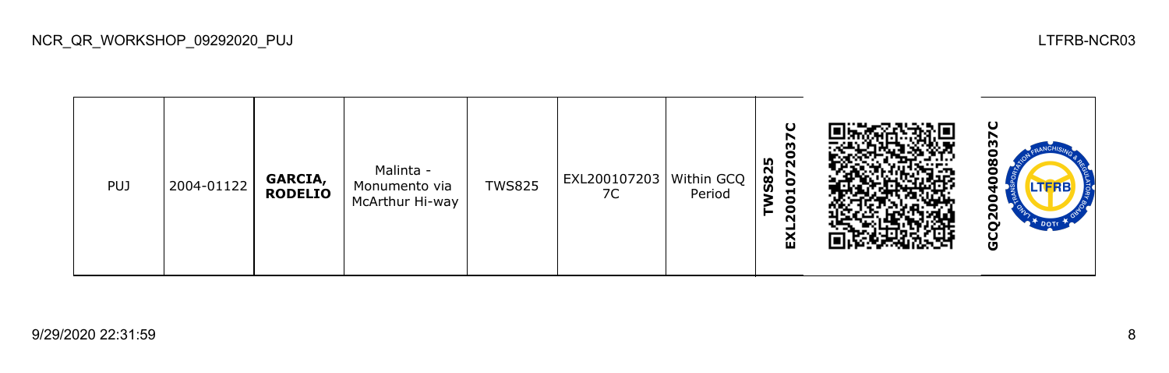| <b>PUJ</b> | 2004-01122 | GARCIA,<br><b>RODELIO</b> | Malinta -<br>Monumento via<br>McArthur Hi-way | <b>TWS825</b> | EXL200107203   Within GCQ<br>7C | Period | Ο<br>n,<br>$\sim$<br><b>S82</b><br><b>b</b><br>$\blacksquare$<br>0<br>$\bullet$<br>ี<br>ଢ |  | m<br><b>LTFRB</b><br>N<br>O |
|------------|------------|---------------------------|-----------------------------------------------|---------------|---------------------------------|--------|-------------------------------------------------------------------------------------------|--|-----------------------------|
|------------|------------|---------------------------|-----------------------------------------------|---------------|---------------------------------|--------|-------------------------------------------------------------------------------------------|--|-----------------------------|

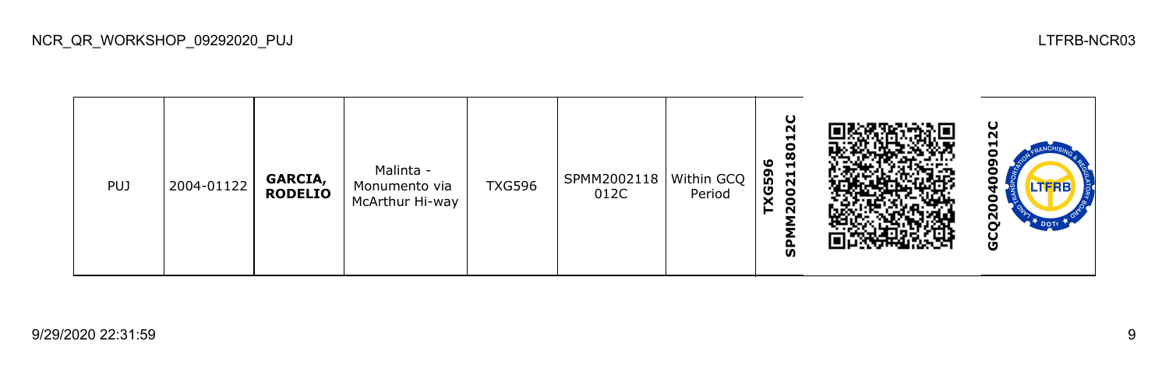TXG596<br>SPMM2002118012C **SPMM2002118012C** 12C **GCQ2004009012C**Malinta - 0 PUJ 2004-01122 **GARCIA,**  TXG596 SPMM2002118 Within GCQ Monumento via **RODELIO** 012C Period McArthur Hi-way 0 GCQ200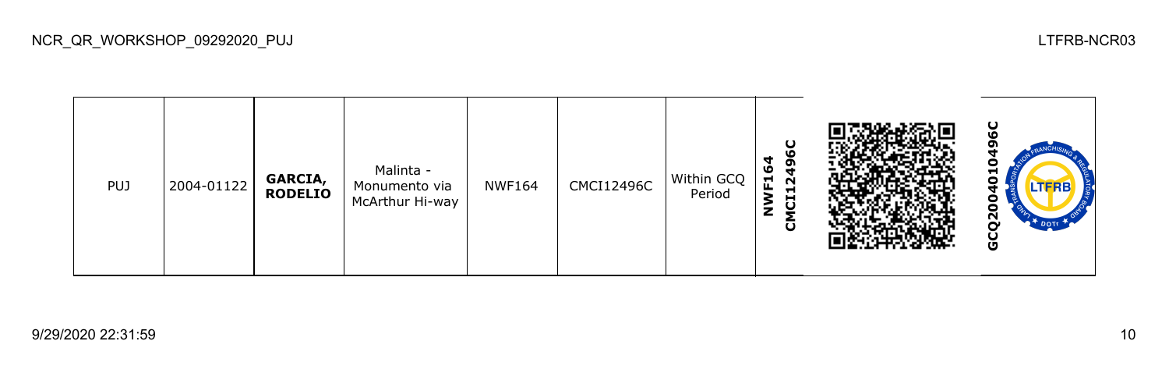**GCQ2004010496CCMCI12496C NWF164** o Malinta - PUJ 2004-01122 **GARCIA,**  NWF164 CMCI12496C Within GCQ 0 Monumento via **RODELIO** Period McArthur Hi-way 0 GCQ20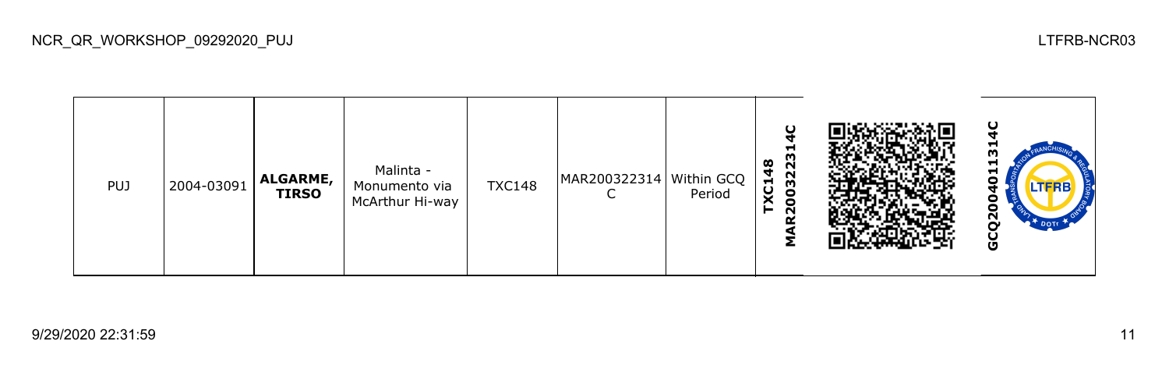| PUJ | 2004-03091 | <b>ALGARME,</b><br><b>TIRSO</b> | Malinta -<br>Monumento via<br>McArthur Hi-way | <b>TXC148</b> | MAR200322314   Within GCQ | Period | ပ<br>−<br>003223<br>$\infty$<br>Ч<br>XC <sub>1</sub><br>$\sim$ |  | $\mathbf \omega$<br>u<br>w<br>−<br><b>LTFRB</b><br>с<br>$\overline{a}$<br><b>DOTI</b><br>O |
|-----|------------|---------------------------------|-----------------------------------------------|---------------|---------------------------|--------|----------------------------------------------------------------|--|--------------------------------------------------------------------------------------------|
|-----|------------|---------------------------------|-----------------------------------------------|---------------|---------------------------|--------|----------------------------------------------------------------|--|--------------------------------------------------------------------------------------------|

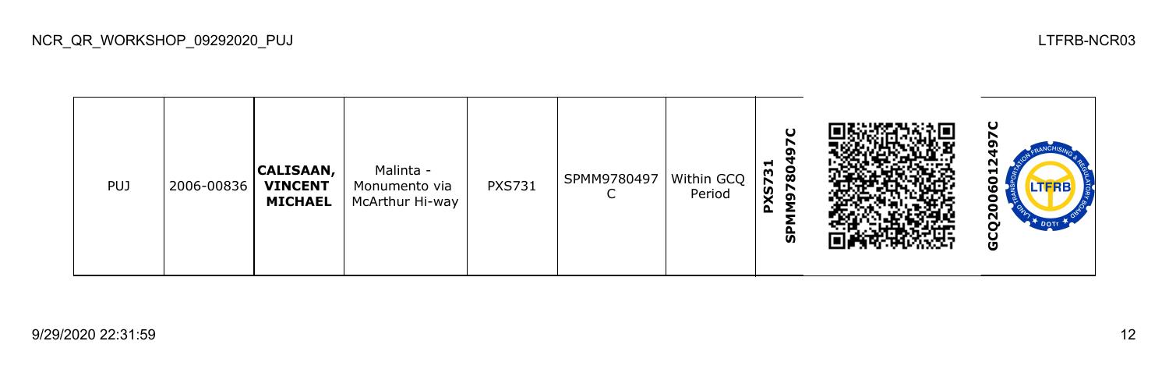| PUJ | 2006-00836 | <b>CALISAAN,</b><br><b>VINCENT</b><br><b>MICHAEL</b> | Malinta -<br>Monumento via<br>McArthur Hi-way | <b>PXS731</b> | SPMM9780497 | Within GCQ<br>Period | $\mathbf C$<br>⊣<br>္စွ<br><b>PXS73</b><br>⊵<br>ஊ<br>င္ဟ |  | ပ<br>ິ<br>5<br>ဖ<br>o<br>ο<br>ပ္ပ<br>DOTE .<br>မိ |
|-----|------------|------------------------------------------------------|-----------------------------------------------|---------------|-------------|----------------------|----------------------------------------------------------|--|---------------------------------------------------|
|-----|------------|------------------------------------------------------|-----------------------------------------------|---------------|-------------|----------------------|----------------------------------------------------------|--|---------------------------------------------------|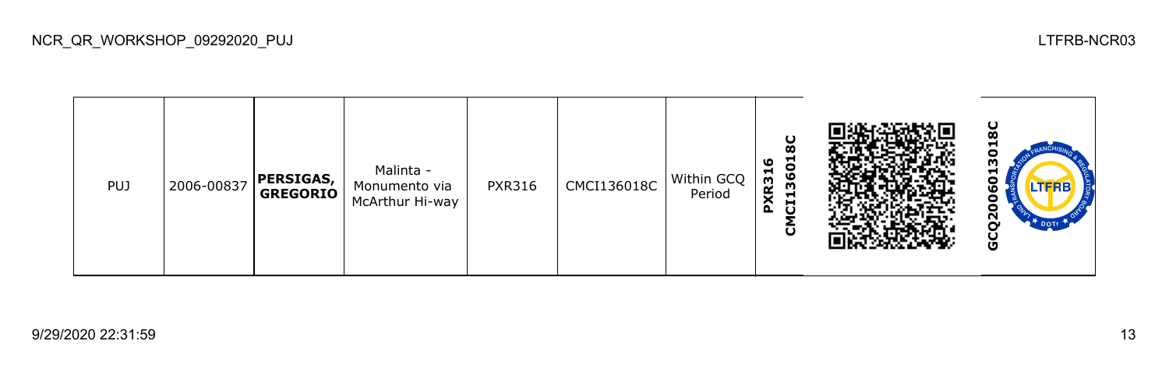**GCQ2006013018CCMCI136018C PXR316** ۴ Malinta - PXR316 CMCI136018C Within GCQ PUJ 2006-00837 **PERSIGAS,**  060 Monumento via **GREGORIO** Period McArthur Hi-way GCQ20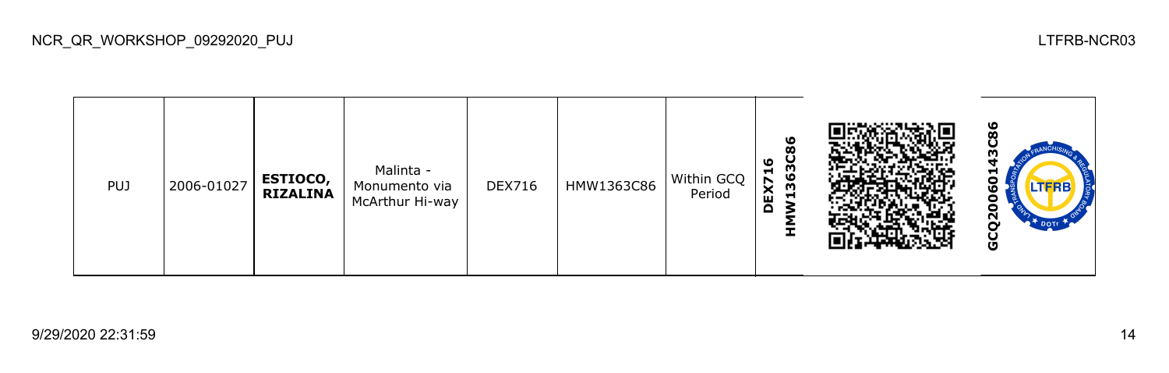| <b>PUJ</b> | 2006-01027 | <b>ESTIOCO,</b><br><b>RIZALINA</b> | Malinta -<br>Monumento via<br>McArthur Hi-way | <b>DEX716</b> | HMW1363C86 | Within GCQ<br>Period | 86<br>363C<br>ဖ<br>H<br>EX7<br>ᆋ<br>$\Omega$<br>I. |  | ဖ<br>œ<br>Н<br>n<br>ω<br>o<br>о<br>Ñ<br>DOTT<br>o |
|------------|------------|------------------------------------|-----------------------------------------------|---------------|------------|----------------------|----------------------------------------------------|--|---------------------------------------------------|
|------------|------------|------------------------------------|-----------------------------------------------|---------------|------------|----------------------|----------------------------------------------------|--|---------------------------------------------------|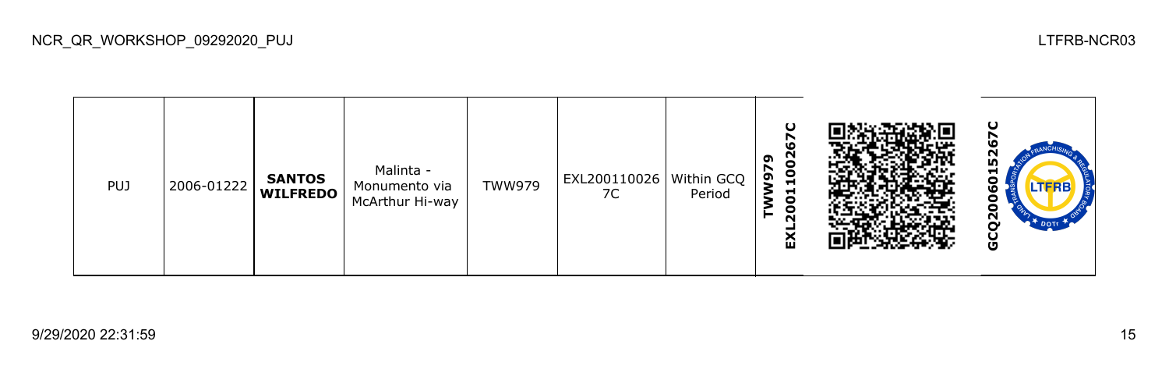| <b>PUJ</b> | 2006-01222 | <b>SANTOS</b><br><b>WILFREDO</b> | Malinta -<br>Monumento via<br>McArthur Hi-way | TWW979 | EXL200110026   Within GCQ<br>7C | Period | O<br>LО<br>SO<br>ຶ<br>r<br>$\overline{a}$<br>QW<br>₩<br>$\bullet$<br>o<br>►<br>$\sim$<br>ଢ |  | ပ<br>ഥ<br>52<br>H<br>О<br>LIERE<br>v<br>о<br>-<br>္က<br><b>DOTE</b><br>ט |
|------------|------------|----------------------------------|-----------------------------------------------|--------|---------------------------------|--------|--------------------------------------------------------------------------------------------|--|--------------------------------------------------------------------------|
|------------|------------|----------------------------------|-----------------------------------------------|--------|---------------------------------|--------|--------------------------------------------------------------------------------------------|--|--------------------------------------------------------------------------|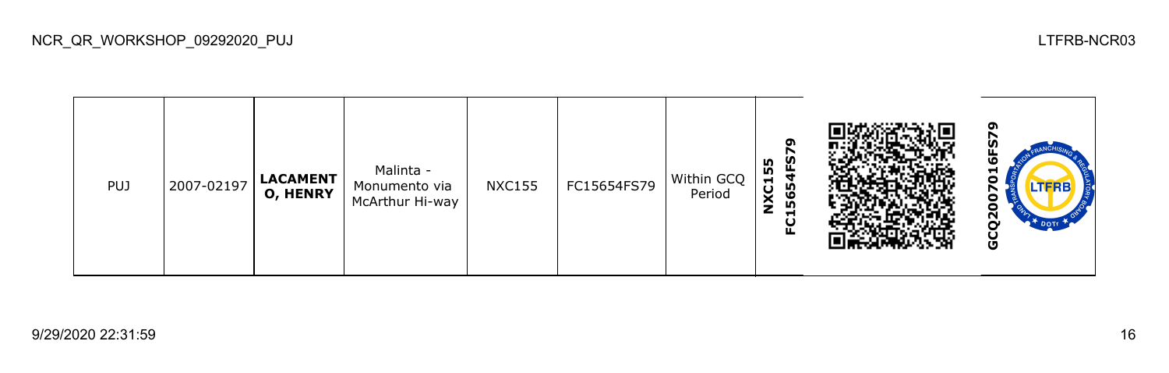**GCQ2007016FS79NXC155 FC15654FS79** Malinta - PUJ 2007-02197 **LACAMENT**  $NXC155$  FC15654FS79 Within GCQ c Monumento via **O, HENRY** Period N McArthur Hi-way ဠ GCQ2

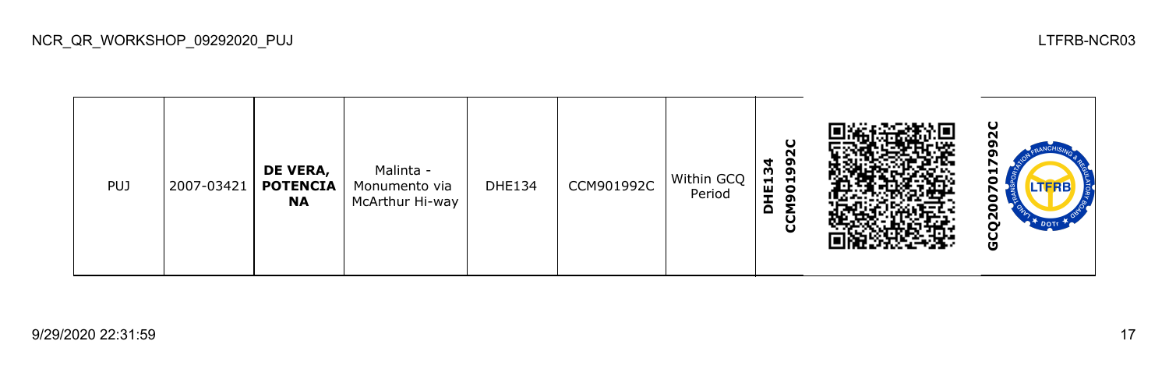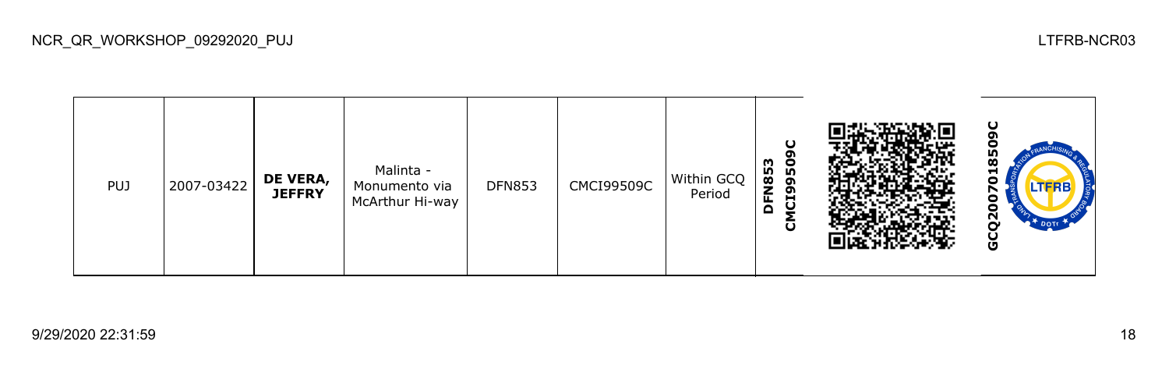**GCQ2007018509CCMCI99509C** o **DFN853** œ Malinta - PUJ 2007-03422 **DE VERA,**  DFN853 | CMCI99509C Within GCQ 070 Monumento via **JEFFRY** Period McArthur Hi-way GCQ200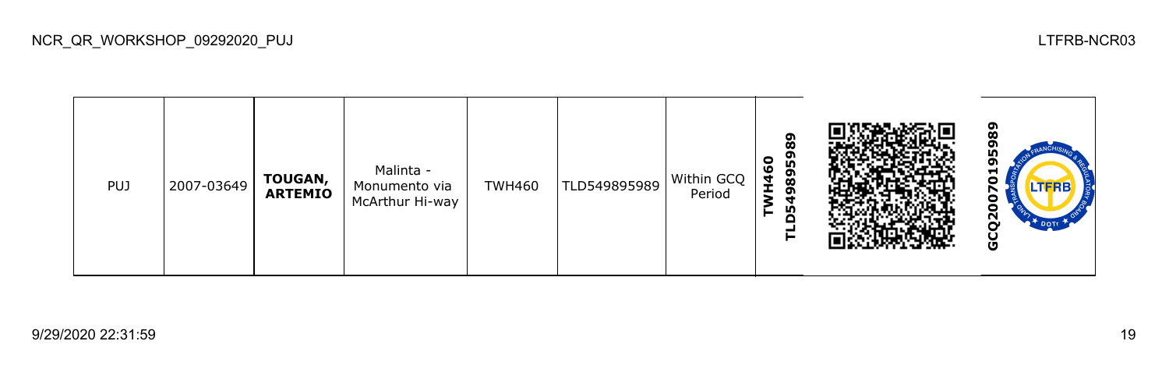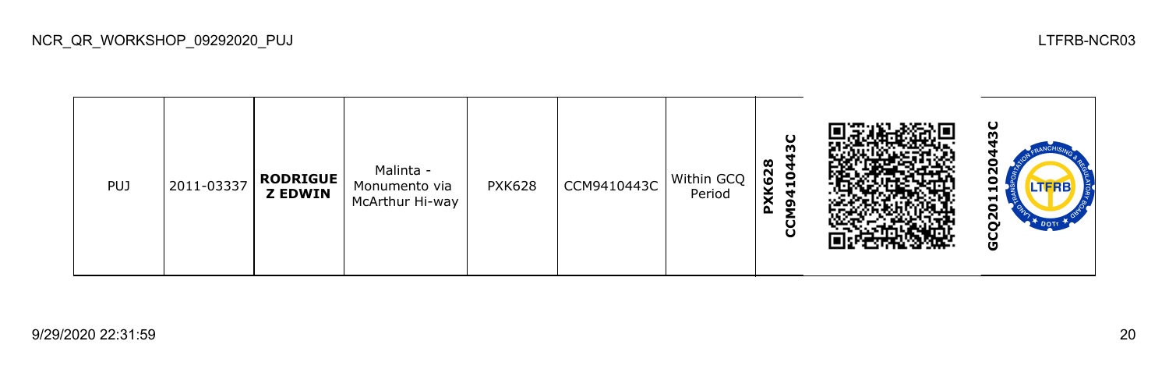**GCQ2011020443CCCM9410443C PXK628** ဥ Malinta - PUJ 2011-03337 **RODRIGUE** PXK628  $\vert$  CCM9410443C Within GCQ  $\bullet$ Monumento via **Z EDWIN** Period McArthur Hi-way GCQ20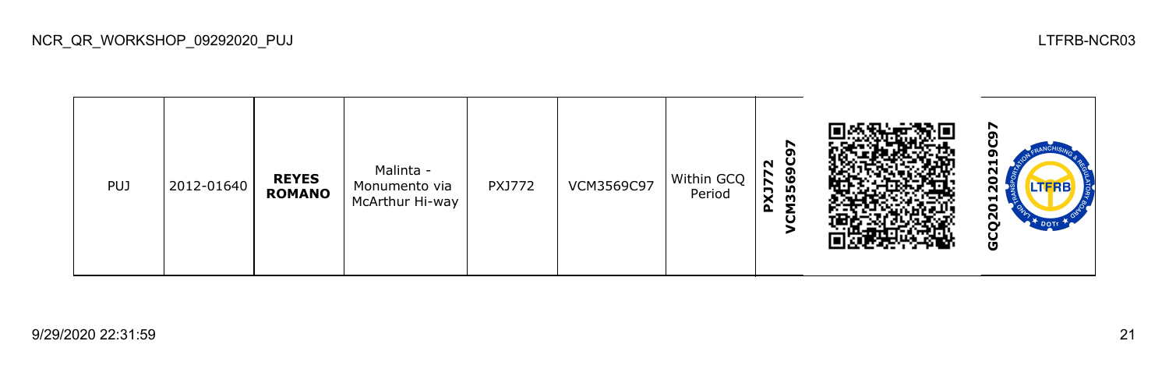**GCQ20120219C97VCM3569C97 PXJ772** Malinta - 202 PUJ 2012-01640 **REYES**  PXJ772 | VCM3569C97 | Within GCQ Monumento via **ROMANO** Period McArthur Hi-way GCQ20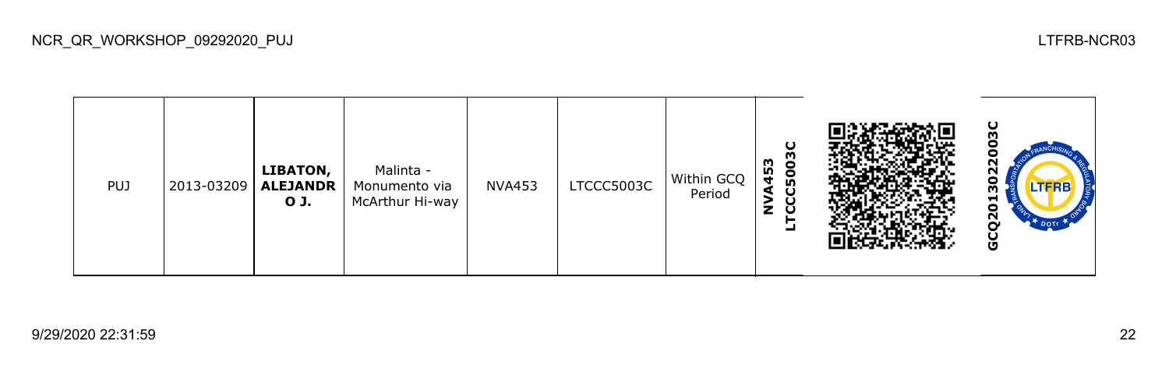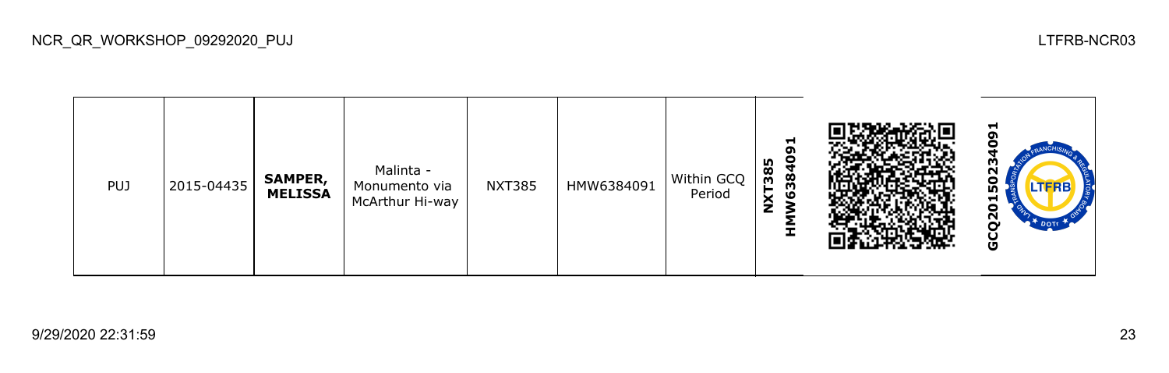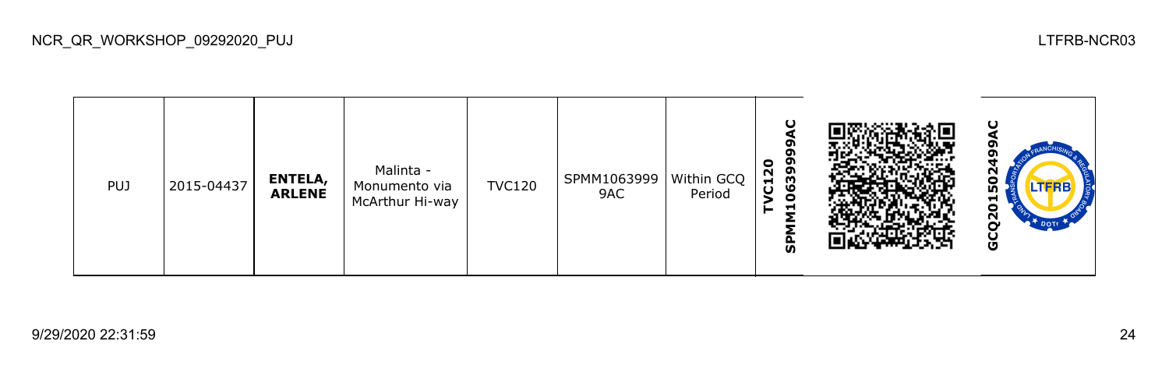| <b>PUJ</b> | 2015-04437 | ENTELA,<br><b>ARLENE</b> | Malinta -<br>Monumento via<br>McArthur Hi-way | <b>TVC120</b> | SPMM1063999<br>9AC | $ $ Within GCQ<br>Period | ပ<br>06399<br>$\bullet$<br>$\sim$<br>$\overline{c}$<br>ᄅ<br>ັທ |  | N<br>o<br>LTERB<br>⊣<br>o<br>Ņ<br>Ū |
|------------|------------|--------------------------|-----------------------------------------------|---------------|--------------------|--------------------------|----------------------------------------------------------------|--|-------------------------------------|
|------------|------------|--------------------------|-----------------------------------------------|---------------|--------------------|--------------------------|----------------------------------------------------------------|--|-------------------------------------|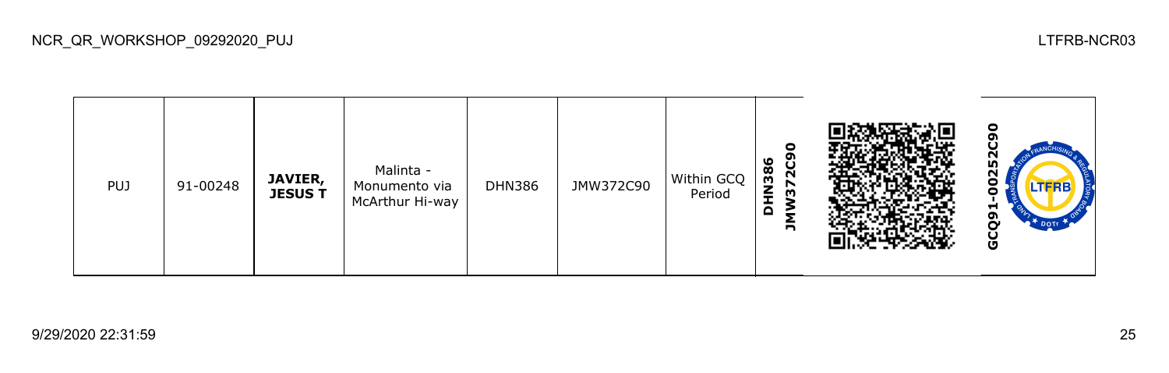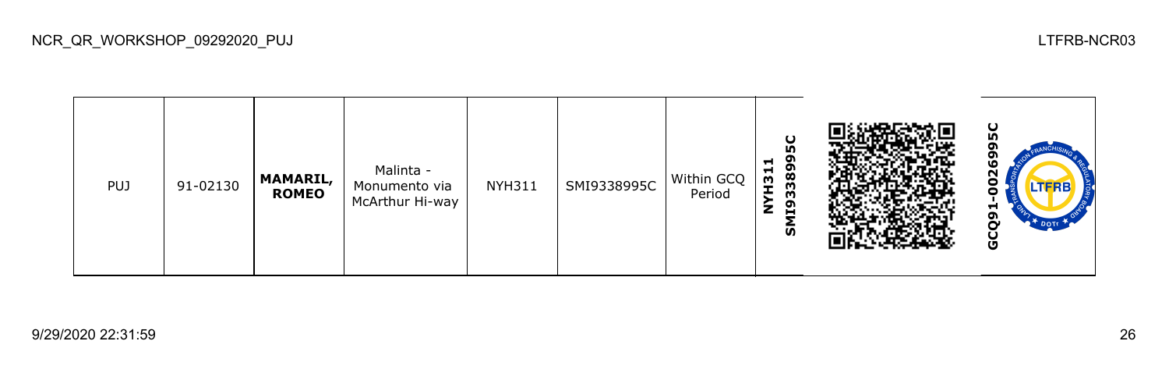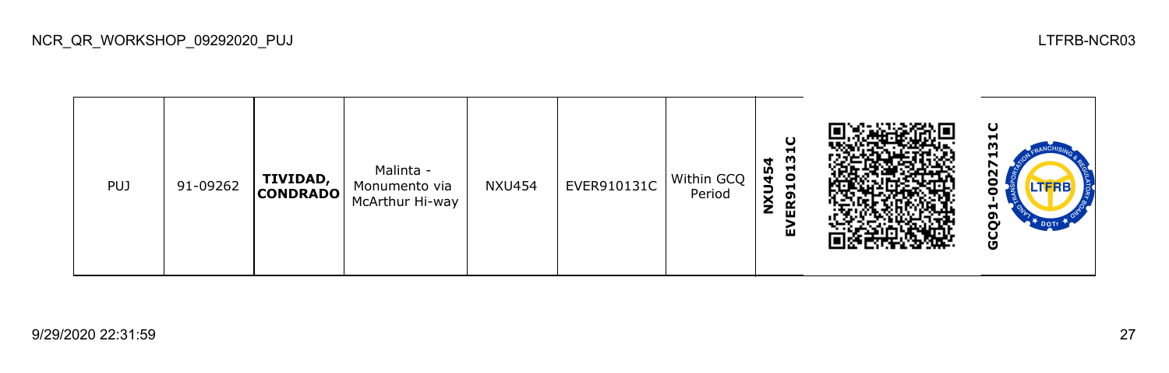**GCQ91-0027131CEVER910131** Malinta - **NXU454** PUJ 91-09262 **TIVIDAD,**   $NXU454$  EVER910131C Within GCQ **20** Monumento via **CONDRADO** Period McArthur Hi-way GCQ9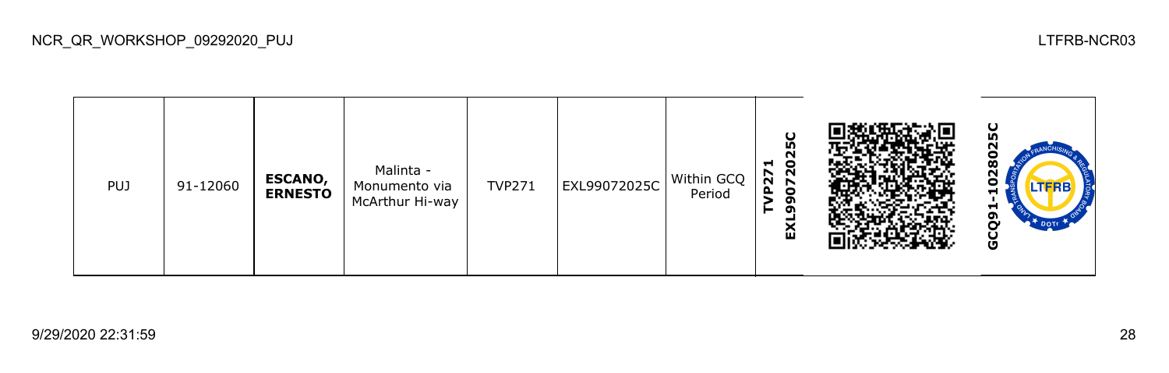**GCQ91-1028025CEXL99072025C** N ខ្ល **TVP271** Malinta - PUJ 91-12060 **ESCANO,**  TVP271 EXL99072025C Within GCQ 8 Monumento via **ERNESTO** Period McArthur Hi-way GCQ9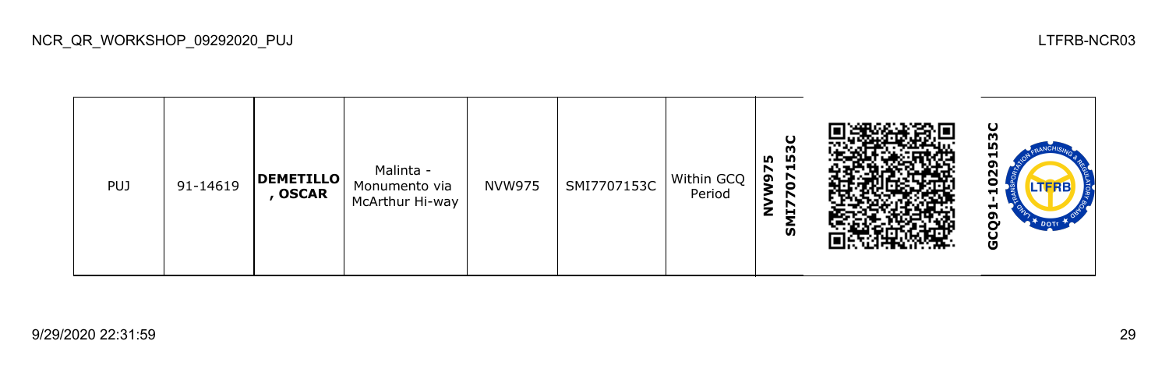

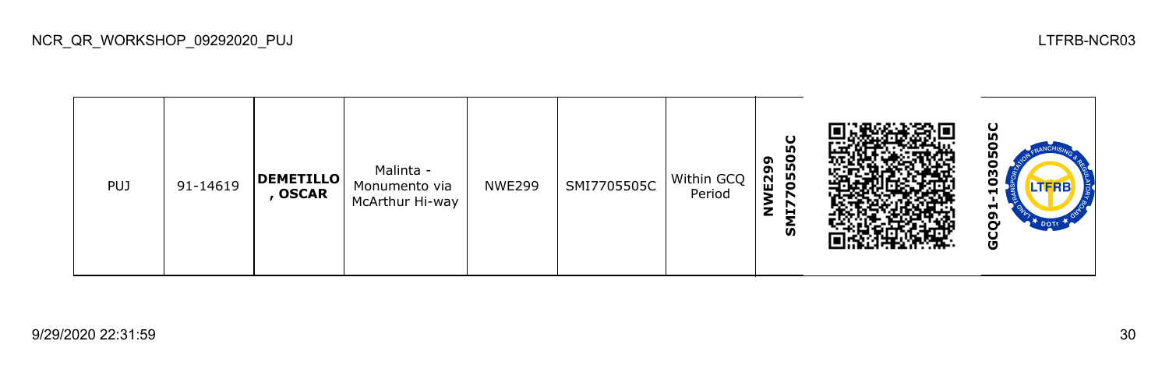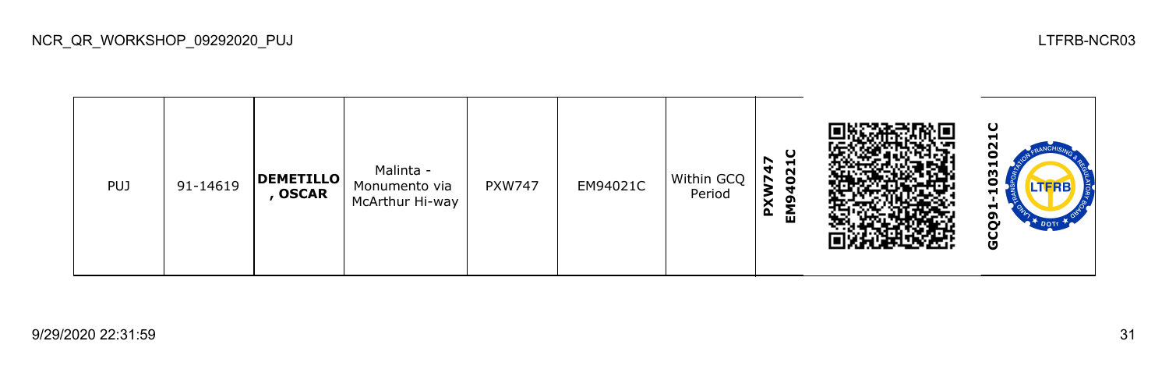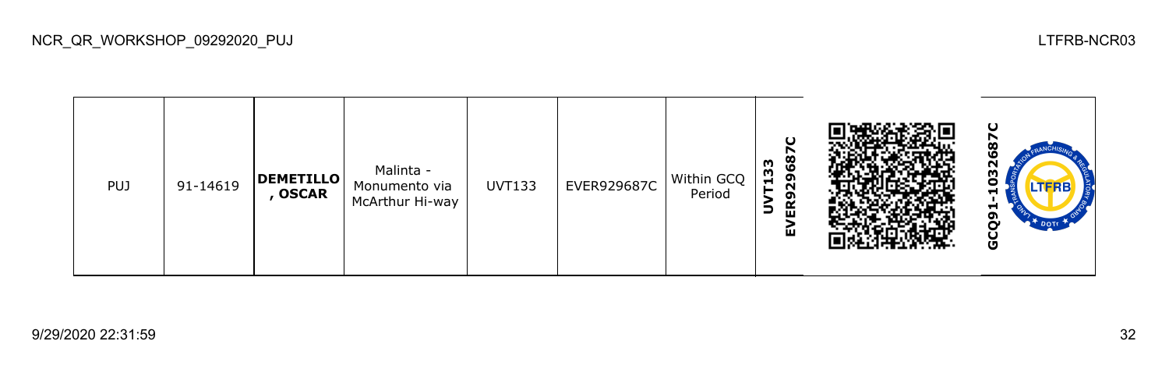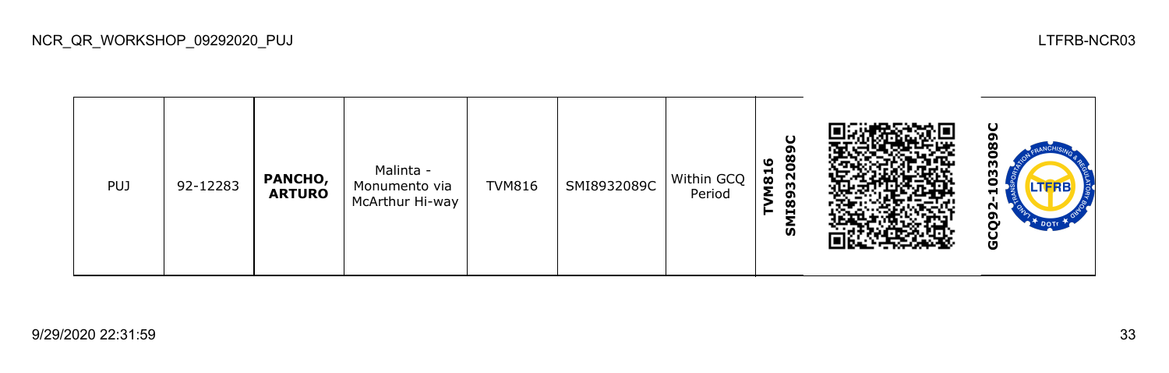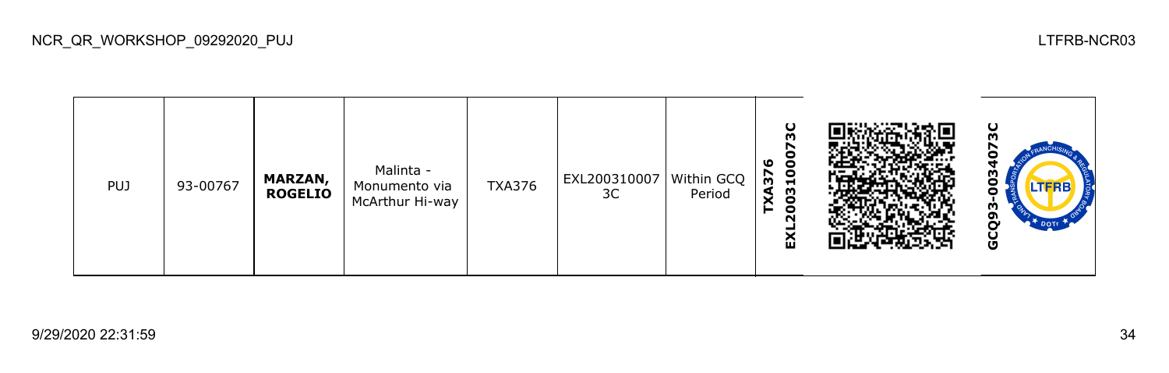| PUJ. | 93-00767 | <b>MARZAN,</b><br><b>ROGELIO</b> | Malinta -<br>Monumento via<br>McArthur Hi-way | <b>TXA376</b> | EXL200310007<br>3C | Within GCQ<br>Period | ပ<br>m<br>ဖ<br>$\bullet$<br>Ō<br><b>XA37</b><br>$\blacksquare$<br>8<br>O<br>N<br>ଢ |  | ပ<br>m<br>с<br>m<br>o<br><b>LTFRB</b><br>w<br>o<br>မိ |
|------|----------|----------------------------------|-----------------------------------------------|---------------|--------------------|----------------------|------------------------------------------------------------------------------------|--|-------------------------------------------------------|
|------|----------|----------------------------------|-----------------------------------------------|---------------|--------------------|----------------------|------------------------------------------------------------------------------------|--|-------------------------------------------------------|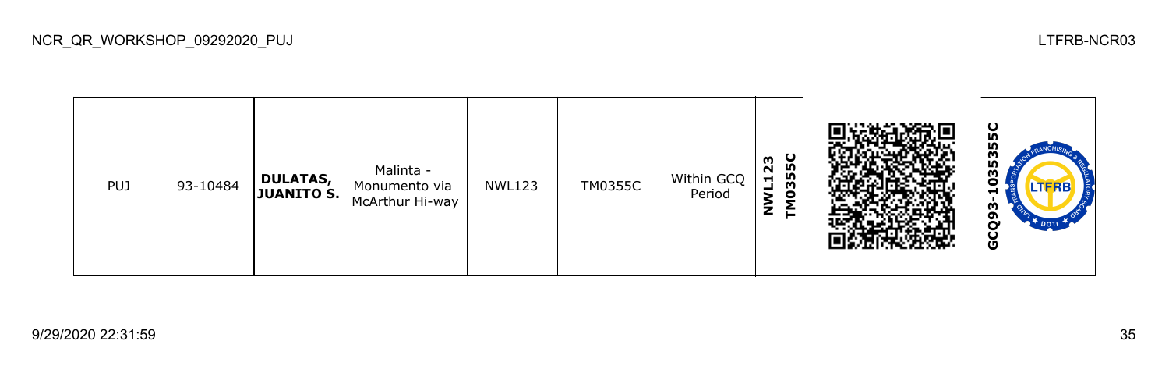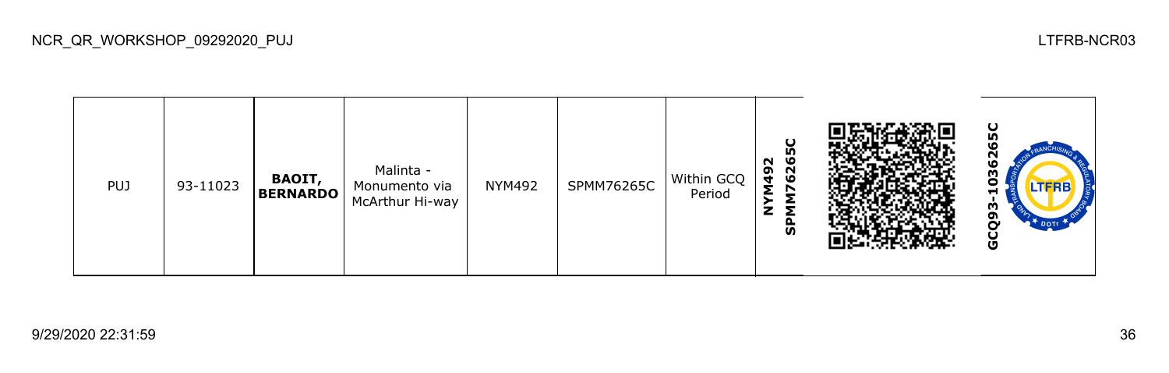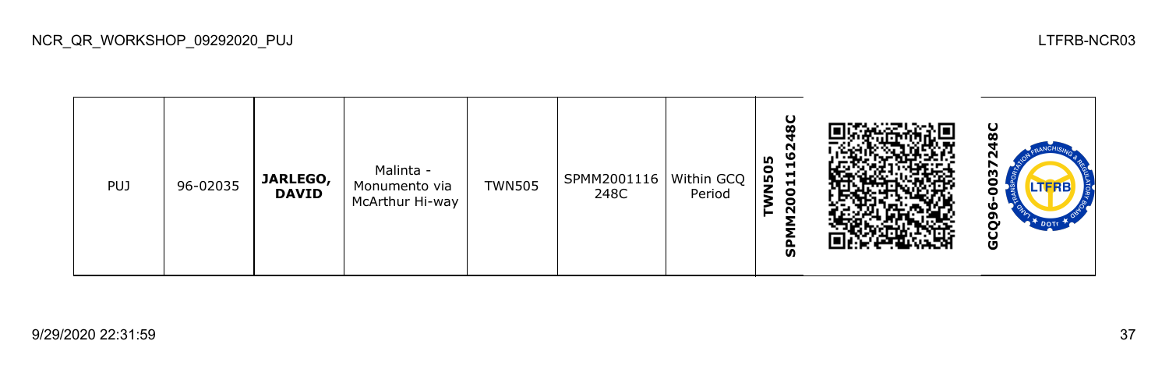| <b>PUJ</b> | 96-02035 | JARLEGO,<br><b>DAVID</b> | Malinta -<br>Monumento via<br>McArthur Hi-way | <b>TWN505</b> | SPMM2001116<br>248C | Within GCQ  <br>Period | U<br>Ø<br>N<br>ဖ<br>m<br>⊣<br><b>N50</b><br>$\blacksquare$<br>$\blacksquare$<br>0<br>0<br>$\sim$<br>င္ဟ |  | ပ<br>r<br>m<br>.TFRB<br>ω<br>໑<br>မိ |
|------------|----------|--------------------------|-----------------------------------------------|---------------|---------------------|------------------------|---------------------------------------------------------------------------------------------------------|--|--------------------------------------|
|------------|----------|--------------------------|-----------------------------------------------|---------------|---------------------|------------------------|---------------------------------------------------------------------------------------------------------|--|--------------------------------------|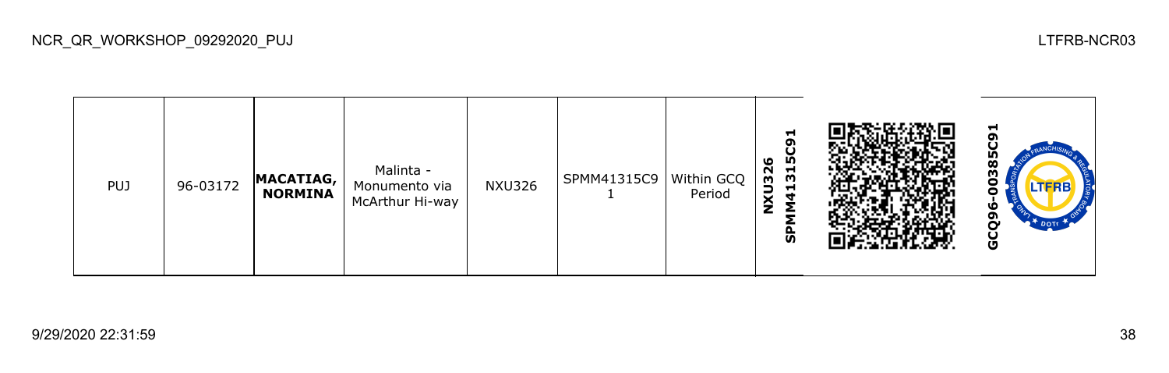| <b>PUJ</b> | 96-03172 | MACATIAG,<br><b>NORMINA</b> | Malinta -<br>Monumento via<br>McArthur Hi-way | <b>NXU326</b> | SPMM41315C9 | Within GCQ<br>Period | ⊣<br>ൈ<br>O<br>315<br>ဖ<br>NXU32<br>−<br>ज |  | −<br>໑<br>œ<br>m<br>TERB<br>ີຕ<br>ט |
|------------|----------|-----------------------------|-----------------------------------------------|---------------|-------------|----------------------|--------------------------------------------|--|-------------------------------------|
|------------|----------|-----------------------------|-----------------------------------------------|---------------|-------------|----------------------|--------------------------------------------|--|-------------------------------------|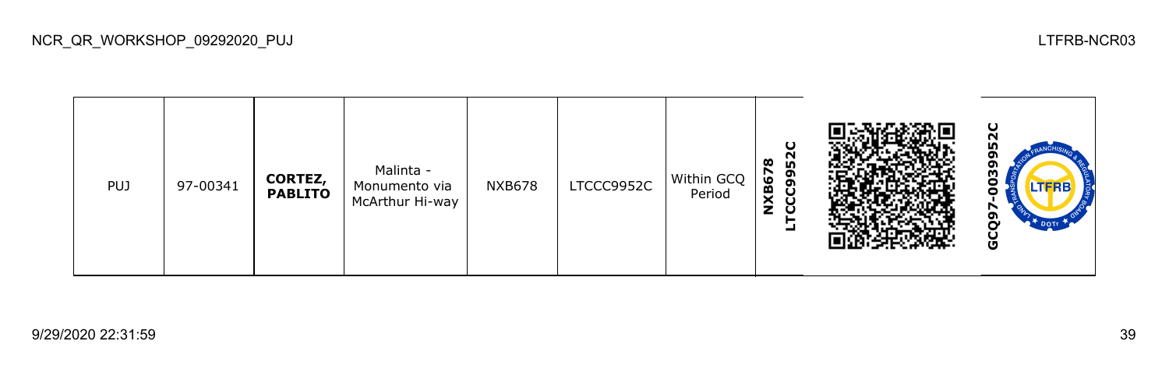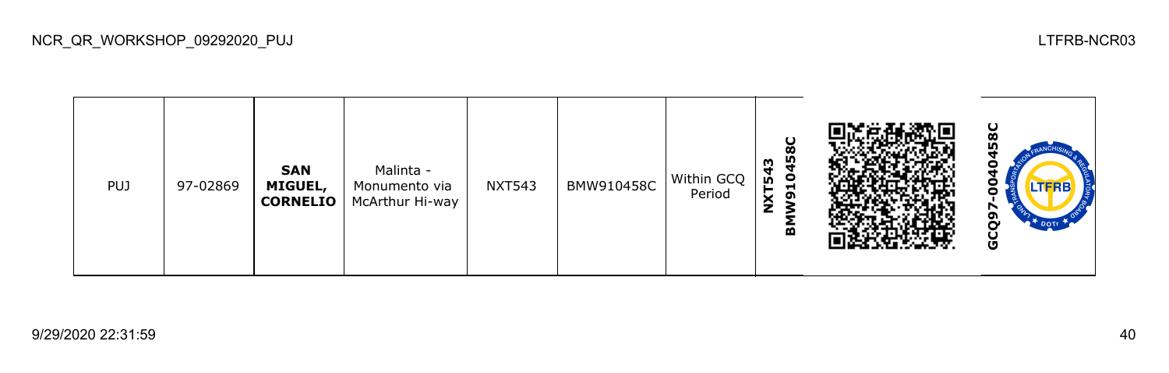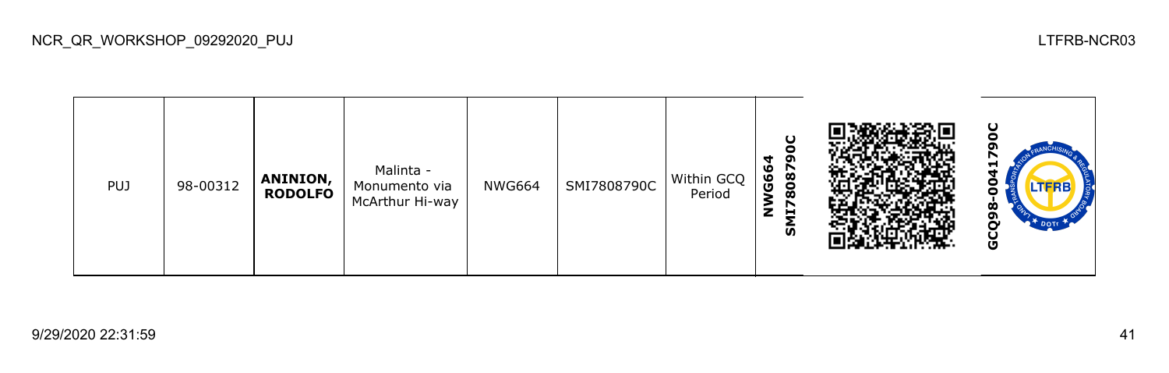| <b>PUJ</b> | 98-00312 | <b>ANINION,</b><br><b>RODOLFO</b> | Malinta -<br>Monumento via<br>McArthur Hi-way | <b>NWG664</b> | SMI7808790C | Within GCQ<br>Period | oı<br>ಀ<br>8087<br>မိ<br>↖<br>z<br>브<br>ັທ |  | စ<br>o<br>ט |
|------------|----------|-----------------------------------|-----------------------------------------------|---------------|-------------|----------------------|--------------------------------------------|--|-------------|
|------------|----------|-----------------------------------|-----------------------------------------------|---------------|-------------|----------------------|--------------------------------------------|--|-------------|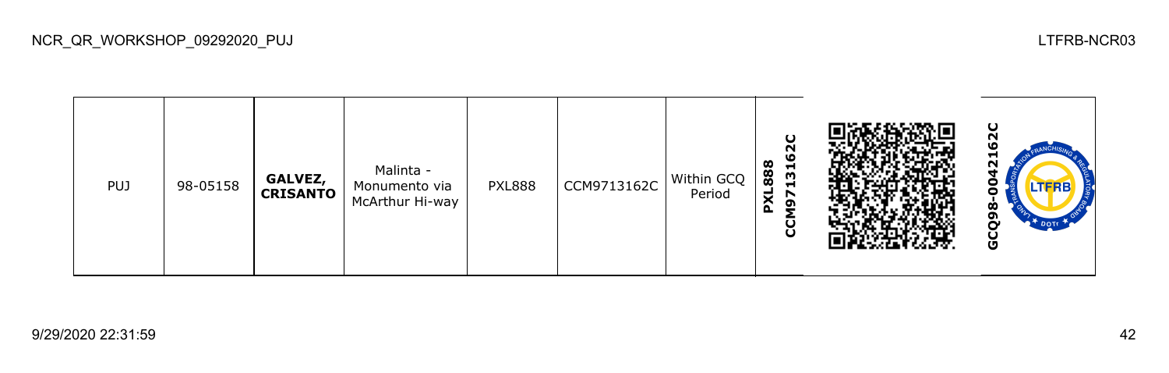**SZC GCQ98-0042162CCCM9713162C PXL888** Malinta - PUJ 98-05158 **GALVEZ,**  PXL888 CCM9713162C Within GCQ Monumento via 8 **CRISANTO** Period McArthur Hi-way GCQ98-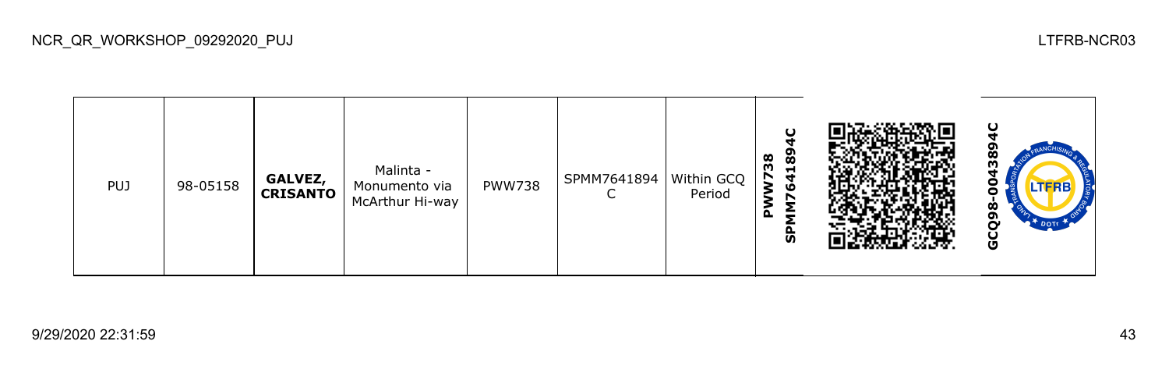|  | <b>PUJ</b> | 98-05158 | GALVEZ,<br><b>CRISANTO</b> | Malinta -<br>Monumento via<br>McArthur Hi-way | <b>PWW738</b> | SPMM7641894 | Within GCQ<br>Period | $\cup$<br>89<br>38<br>$\blacksquare$<br>N<br>ਚ<br>۱G<br>o.<br>ჭ |  | ပ<br>ဏ္ဌ<br>m<br>леж<br>Ò<br>oı<br>DOTT<br>Ū |
|--|------------|----------|----------------------------|-----------------------------------------------|---------------|-------------|----------------------|-----------------------------------------------------------------|--|----------------------------------------------|
|--|------------|----------|----------------------------|-----------------------------------------------|---------------|-------------|----------------------|-----------------------------------------------------------------|--|----------------------------------------------|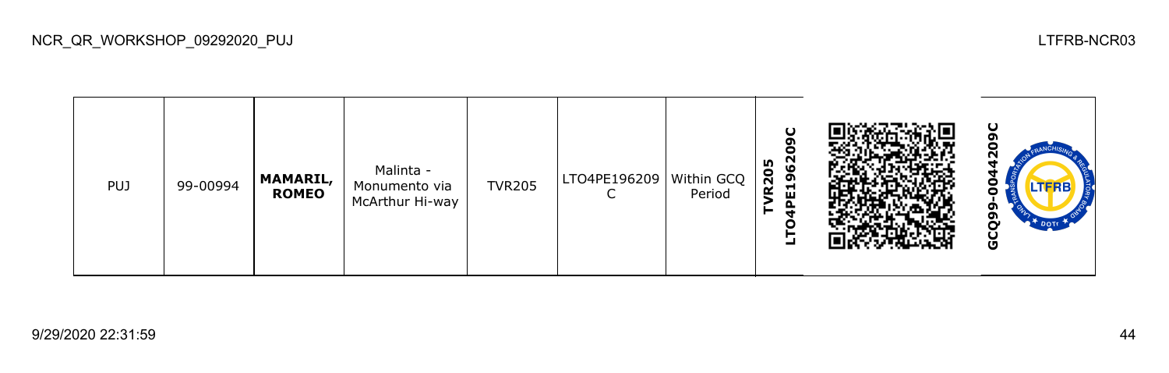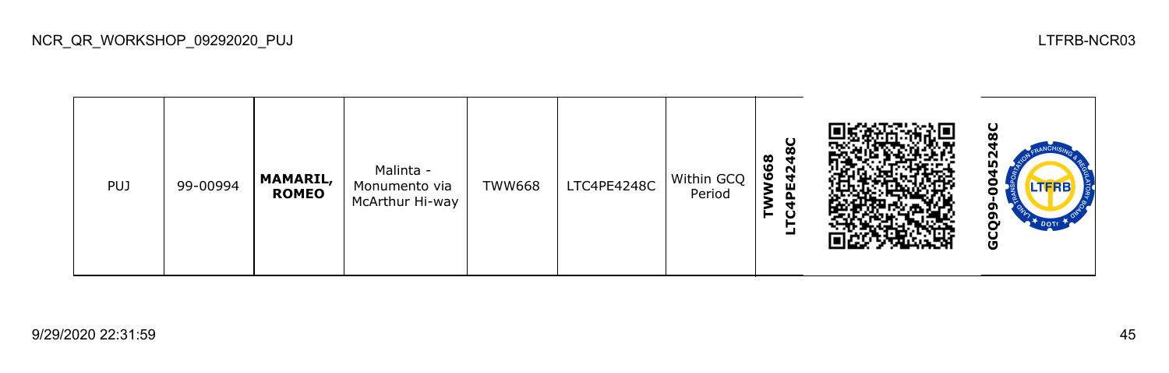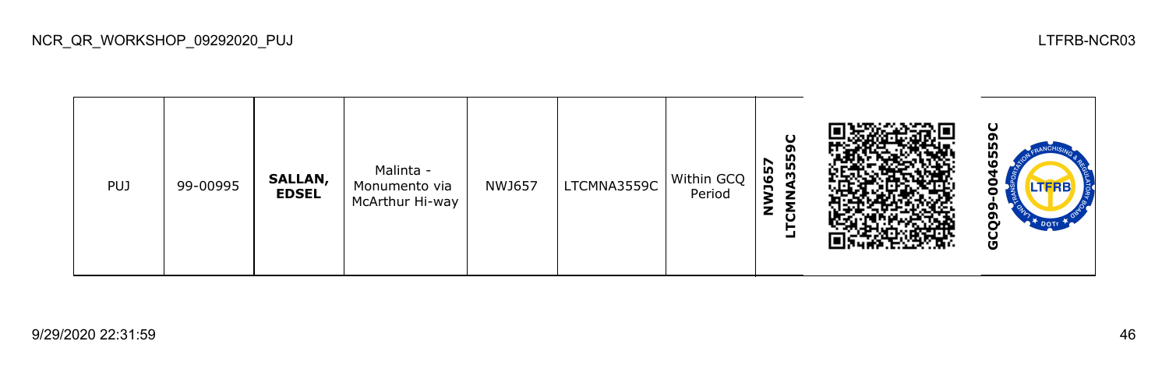